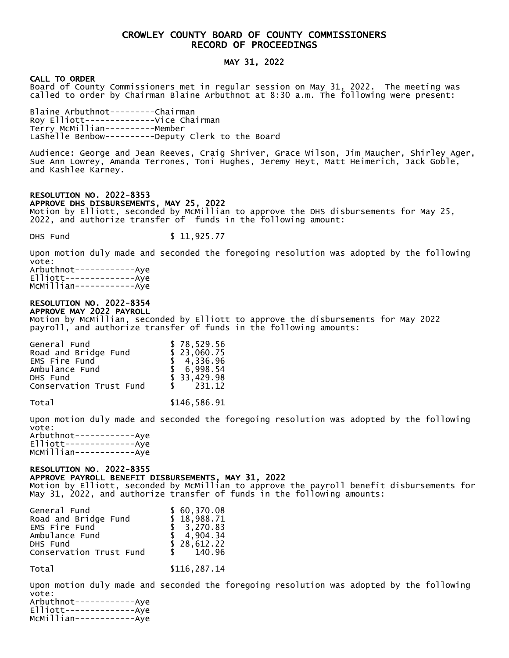# CROWLEY COUNTY BOARD OF COUNTY COMMISSIONERS RECORD OF PROCEEDINGS

## MAY 31, 2022

### CALL TO ORDER

Board of County Commissioners met in regular session on May 31, 2022. The meeting was called to order by Chairman Blaine Arbuthnot at 8:30 a.m. The following were present:

Blaine Arbuthnot---------Chairman Roy Elliott--------------Vice Chairman Terry McMillian----------Member LaShelle Benbow----------Deputy Clerk to the Board

Audience: George and Jean Reeves, Craig Shriver, Grace Wilson, Jim Maucher, Shirley Ager, Sue Ann Lowrey, Amanda Terrones, Toni Hughes, Jeremy Heyt, Matt Heimerich, Jack Goble, and Kashlee Karney.

### RESOLUTION NO. 2022-8353 APPROVE DHS DISBURSEMENTS, MAY 25, 2022

Motion by Elliott, seconded by McMillian to approve the DHS disbursements for May 25, 2022, and authorize transfer of funds in the following amount:

DHS Fund \$ 11,925.77

Upon motion duly made and seconded the foregoing resolution was adopted by the following vote:

Arbuthnot------------Aye Elliott--------------Aye McMillian------------Aye

# RESOLUTION NO. 2022-8354

APPROVE MAY 2022 PAYROLL Motion by McMillian, seconded by Elliott to approve the disbursements for May 2022 payroll, and authorize transfer of funds in the following amounts:

| General Fund            | \$78,529.56 |
|-------------------------|-------------|
| Road and Bridge Fund    | \$23,060.75 |
| EMS Fire Fund           | \$4,336.96  |
| Ambulance Fund          | \$6,998.54  |
| DHS Fund                | \$33,429.98 |
| Conservation Trust Fund | \$231.12    |
|                         |             |

Total \$146,586.91

Upon motion duly made and seconded the foregoing resolution was adopted by the following vote: Arbuthnot------------Aye

Elliott--------------Aye McMillian------------Aye

## RESOLUTION NO. 2022-8355

### APPROVE PAYROLL BENEFIT DISBURSEMENTS, MAY 31, 2022

Motion by Elliott, seconded by McMillian to approve the payroll benefit disbursements for May 31, 2022, and authorize transfer of funds in the following amounts:

| General Fund            | \$60,370.08 |
|-------------------------|-------------|
| Road and Bridge Fund    | \$18,988.71 |
| EMS Fire Fund           | \$3,270.83  |
| Ambulance Fund          | \$4,904.34  |
| DHS Fund                | \$28,612.22 |
| Conservation Trust Fund | \$140.96    |
|                         |             |

Total \$116,287.14

Upon motion duly made and seconded the foregoing resolution was adopted by the following vote:

Arbuthnot------------Aye Elliott--------------Aye McMillian------------Aye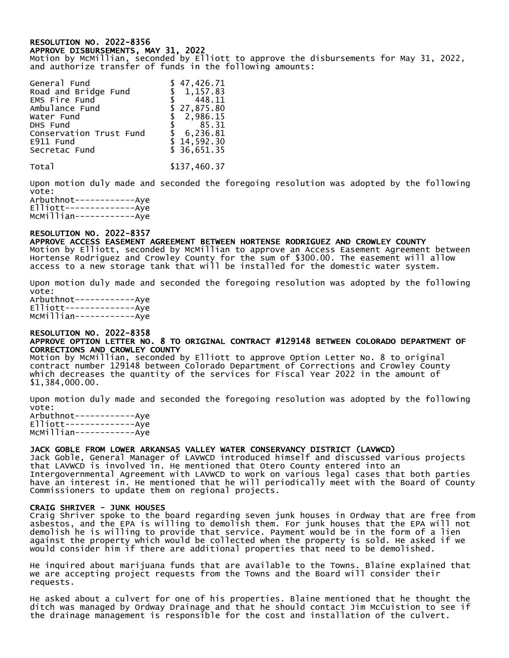### RESOLUTION NO. 2022-8356 APPROVE DISBURSEMENTS, MAY 31, 2022

Motion by McMillian, seconded by Elliott to approve the disbursements for May 31, 2022, and authorize transfer of funds in the following amounts:

| General Fund            | \$47,426.71 |
|-------------------------|-------------|
| Road and Bridge Fund    | \$1,157.83  |
| EMS Fire Fund           | \$ 448.11   |
| Ambulance Fund          | \$27,875.80 |
| Water Fund              | \$2,986.15  |
| DHS Fund                | \$85.31     |
| Conservation Trust Fund | \$6,236.81  |
| E911 Fund               | \$14,592.30 |
| Secretac Fund           | \$36,651.35 |
|                         |             |

Total \$137.460.37

Upon motion duly made and seconded the foregoing resolution was adopted by the following vote: Arbuthnot------------Aye

Elliott--------------Aye McMillian------------Aye

# RESOLUTION NO. 2022-8357

APPROVE ACCESS EASEMENT AGREEMENT BETWEEN HORTENSE RODRIGUEZ AND CROWLEY COUNTY Motion by Elliott, seconded by McMillian to approve an Access Easement Agreement between Hortense Rodriguez and Crowley County for the sum of \$300.00. The easement will allow access to a new storage tank that will be installed for the domestic water system.

Upon motion duly made and seconded the foregoing resolution was adopted by the following vote: Arbuthnot------------Aye Elliott--------------Aye McMillian------------Aye

### RESOLUTION NO. 2022-8358 APPROVE OPTION LETTER NO. 8 TO ORIGINAL CONTRACT #129148 BETWEEN COLORADO DEPARTMENT OF CORRECTIONS AND CROWLEY COUNTY

Motion by McMillian, seconded by Elliott to approve Option Letter No. 8 to original contract number 129148 between Colorado Department of Corrections and Crowley County which decreases the quantity of the services for Fiscal Year 2022 in the amount of \$1,384,000.00.

Upon motion duly made and seconded the foregoing resolution was adopted by the following vote: Arbuthnot------------Aye Elliott--------------Aye

McMillian------------Aye

## JACK GOBLE FROM LOWER ARKANSAS VALLEY WATER CONSERVANCY DISTRICT (LAVWCD)

Jack Goble, General Manager of LAVWCD introduced himself and discussed various projects that LAVWCD is involved in. He mentioned that Otero County entered into an Intergovernmental Agreement with LAVWCD to work on various legal cases that both parties have an interest in. He mentioned that he will periodically meet with the Board of County Commissioners to update them on regional projects.

## CRAIG SHRIVER - JUNK HOUSES

Craig Shriver spoke to the board regarding seven junk houses in Ordway that are free from asbestos, and the EPA is willing to demolish them. For junk houses that the EPA will not demolish he is willing to provide that service. Payment would be in the form of a lien against the property which would be collected when the property is sold. He asked if we would consider him if there are additional properties that need to be demolished.

He inquired about marijuana funds that are available to the Towns. Blaine explained that we are accepting project requests from the Towns and the Board will consider their requests.

He asked about a culvert for one of his properties. Blaine mentioned that he thought the ditch was managed by Ordway Drainage and that he should contact Jim McCuistion to see if the drainage management is responsible for the cost and installation of the culvert.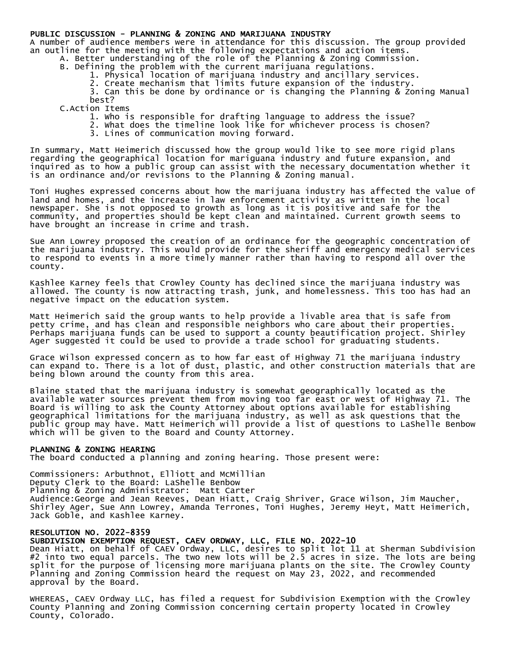### PUBLIC DISCUSSION - PLANNING & ZONING AND MARIJUANA INDUSTRY

A number of audience members were in attendance for this discussion. The group provided an outline for the meeting with the following expectations and action items.

- A. Better understanding of the role of the Planning & Zoning Commission.
- B. Defining the problem with the current marijuana regulations.
	- 1. Physical location of marijuana industry and ancillary services.
	- 2. Create mechanism that limits future expansion of the industry.

3. Can this be done by ordinance or is changing the Planning & Zoning Manual best?

C.Action Items

- 1. Who is responsible for drafting language to address the issue?
- 2. What does the timeline look like for whichever process is chosen?
- 3. Lines of communication moving forward.

In summary, Matt Heimerich discussed how the group would like to see more rigid plans regarding the geographical location for mariguana industry and future expansion, and inquired as to how a public group can assist with the necessary documentation whether it is an ordinance and/or revisions to the Planning & Zoning manual.

Toni Hughes expressed concerns about how the marijuana industry has affected the value of land and homes, and the increase in law enforcement activity as written in the local newspaper. She is not opposed to growth as long as it is positive and safe for the community, and properties should be kept clean and maintained. Current growth seems to have brought an increase in crime and trash.

Sue Ann Lowrey proposed the creation of an ordinance for the geographic concentration of the marijuana industry. This would provide for the sheriff and emergency medical services to respond to events in a more timely manner rather than having to respond all over the county.

Kashlee Karney feels that Crowley County has declined since the marijuana industry was allowed. The county is now attracting trash, junk, and homelessness. This too has had an negative impact on the education system.

Matt Heimerich said the group wants to help provide a livable area that is safe from petty crime, and has clean and responsible neighbors who care about their properties. Perhaps marijuana funds can be used to support a county beautification project. Shirley Ager suggested it could be used to provide a trade school for graduating students.

Grace Wilson expressed concern as to how far east of Highway 71 the marijuana industry can expand to. There is a lot of dust, plastic, and other construction materials that are being blown around the county from this area.

Blaine stated that the marijuana industry is somewhat geographically located as the available water sources prevent them from moving too far east or west of Highway 71. The Board is willing to ask the County Attorney about options available for establishing geographical limitations for the marijuana industry, as well as ask questions that the public group may have. Matt Heimerich will provide a list of questions to LaShelle Benbow which will be given to the Board and County Attorney.

#### PLANNING & ZONING HEARING

The board conducted a planning and zoning hearing. Those present were:

Commissioners: Arbuthnot, Elliott and McMillian Deputy Clerk to the Board: LaShelle Benbow Planning & Zoning Administrator: Matt Carter Audience:George and Jean Reeves, Dean Hiatt, Craig Shriver, Grace Wilson, Jim Maucher, Shirley Ager, Sue Ann Lowrey, Amanda Terrones, Toni Hughes, Jeremy Heyt, Matt Heimerich, Jack Goble, and Kashlee Karney.

### RESOLUTION NO. 2022-8359

SUBDIVISION EXEMPTION REQUEST, CAEV ORDWAY, LLC, FILE NO. 2022-10

Dean Hiatt, on behalf of CAEV Ordway, LLC, desires to split lot 11 at Sherman Subdivision #2 into two equal parcels. The two new lots will be 2.5 acres in size. The lots are being split for the purpose of licensing more marijuana plants on the site. The Crowley County Planning and Zoning Commission heard the request on May 23, 2022, and recommended approval by the Board.

WHEREAS, CAEV Ordway LLC, has filed a request for Subdivision Exemption with the Crowley County Planning and Zoning Commission concerning certain property located in Crowley County, Colorado.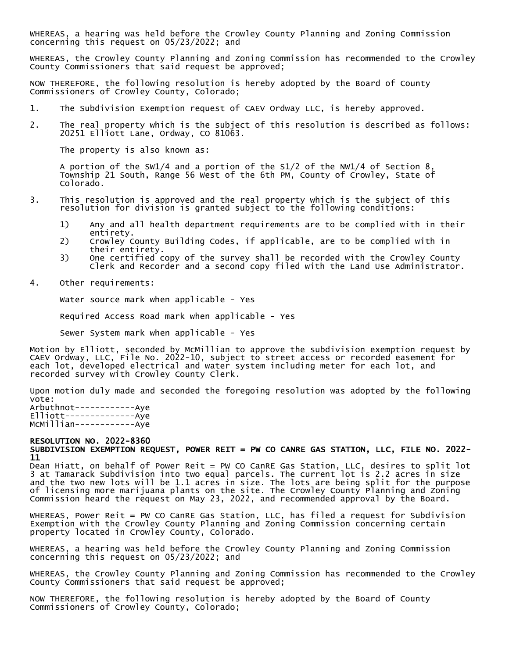WHEREAS, a hearing was held before the Crowley County Planning and Zoning Commission concerning this request on 05/23/2022; and

WHEREAS, the Crowley County Planning and Zoning Commission has recommended to the Crowley County Commissioners that said request be approved;

NOW THEREFORE, the following resolution is hereby adopted by the Board of County Commissioners of Crowley County, Colorado;

- 1. The Subdivision Exemption request of CAEV Ordway LLC, is hereby approved.
- 2. The real property which is the subject of this resolution is described as follows: 20251 Elliott Lane, Ordway, CO 81063.

The property is also known as:

A portion of the SW1/4 and a portion of the S1/2 of the NW1/4 of Section 8, Township 21 South, Range 56 West of the 6th PM, County of Crowley, State of Colorado.

- 3. This resolution is approved and the real property which is the subject of this resolution for division is granted subject to the following conditions:
	- 1) Any and all health department requirements are to be complied with in their entirety.
	- 2) Crowley County Building Codes, if applicable, are to be complied with in their entirety.
	- 3) One certified copy of the survey shall be recorded with the Crowley County Clerk and Recorder and a second copy filed with the Land Use Administrator.
- 4. Other requirements:

Water source mark when applicable - Yes

Required Access Road mark when applicable - Yes

Sewer System mark when applicable - Yes

Motion by Elliott, seconded by McMillian to approve the subdivision exemption request by CAEV Ordway, LLC, File No. 2022-10, subject to street access or recorded easement for each lot, developed electrical and water system including meter for each lot, and recorded survey with Crowley County Clerk.

Upon motion duly made and seconded the foregoing resolution was adopted by the following vote: Arbuthnot------------Aye Elliott--------------Aye

McMillian------------Aye

#### RESOLUTION NO. 2022-8360 SUBDIVISION EXEMPTION REQUEST, POWER REIT = PW CO CANRE GAS STATION, LLC, FILE NO. 2022- 11

Dean Hiatt, on behalf of Power Reit = PW CO CanRE Gas Station, LLC, desires to split lot 3 at Tamarack Subdivision into two equal parcels. The current lot is 2.2 acres in size and the two new lots will be 1.1 acres in size. The lots are being split for the purpose of licensing more marijuana plants on the site. The Crowley County Planning and Zoning Commission heard the request on May 23, 2022, and recommended approval by the Board.

WHEREAS, Power Reit = PW CO CanRE Gas Station, LLC, has filed a request for Subdivision Exemption with the Crowley County Planning and Zoning Commission concerning certain property located in Crowley County, Colorado.

WHEREAS, a hearing was held before the Crowley County Planning and Zoning Commission concerning this request on 05/23/2022; and

WHEREAS, the Crowley County Planning and Zoning Commission has recommended to the Crowley County Commissioners that said request be approved;

NOW THEREFORE, the following resolution is hereby adopted by the Board of County Commissioners of Crowley County, Colorado;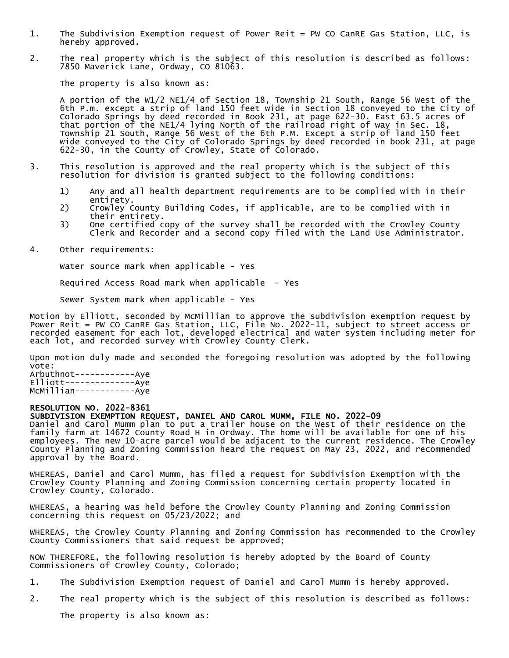- 1. The Subdivision Exemption request of Power Reit = PW CO CanRE Gas Station, LLC, is hereby approved.
- 2. The real property which is the subject of this resolution is described as follows: 7850 Maverick Lane, Ordway, CO 81063.

The property is also known as:

A portion of the W1/2 NE1/4 of Section 18, Township 21 South, Range 56 West of the 6th P.m. except a strip of land 150 feet wide in Section 18 conveyed to the City of Colorado Springs by deed recorded in Book 231, at page 622-30. East 63.5 acres of that portion of the NE1/4 lying North of the railroad right of way in Sec. 18, Township 21 South, Range 56 West of the 6th P.M. Except a strip of land 150 feet wide conveyed to the City of Colorado Springs by deed recorded in book 231, at page 622-30, in the County of Crowley, State of Colorado.

- 3. This resolution is approved and the real property which is the subject of this resolution for division is granted subject to the following conditions:
	- 1) Any and all health department requirements are to be complied with in their entirety.
	- 2) Crowley County Building Codes, if applicable, are to be complied with in their entirety.
	- 3) One certified copy of the survey shall be recorded with the Crowley County Clerk and Recorder and a second copy filed with the Land Use Administrator.
- 4. Other requirements:

Water source mark when applicable - Yes

Required Access Road mark when applicable - Yes

Sewer System mark when applicable - Yes

Motion by Elliott, seconded by McMillian to approve the subdivision exemption request by Power Reit = PW CO CanRE Gas Station, LLC, File No. 2022-11, subject to street access or recorded easement for each lot, developed electrical and water system including meter for each lot, and recorded survey with Crowley County Clerk.

Upon motion duly made and seconded the foregoing resolution was adopted by the following vote:

Arbuthnot------------Aye Elliott--------------Aye McMillian------------Aye

#### RESOLUTION NO. 2022-8361

### SUBDIVISION EXEMPTION REQUEST, DANIEL AND CAROL MUMM, FILE NO. 2022-09

Daniel and Carol Mumm plan to put a trailer house on the West of their residence on the family farm at 14672 County Road H in Ordway. The home will be available for one of his employees. The new 10-acre parcel would be adjacent to the current residence. The Crowley County Planning and Zoning Commission heard the request on May 23, 2022, and recommended approval by the Board.

WHEREAS, Daniel and Carol Mumm, has filed a request for Subdivision Exemption with the Crowley County Planning and Zoning Commission concerning certain property located in Crowley County, Colorado.

WHEREAS, a hearing was held before the Crowley County Planning and Zoning Commission concerning this request on 05/23/2022; and

WHEREAS, the Crowley County Planning and Zoning Commission has recommended to the Crowley County Commissioners that said request be approved;

NOW THEREFORE, the following resolution is hereby adopted by the Board of County Commissioners of Crowley County, Colorado;

- 1. The Subdivision Exemption request of Daniel and Carol Mumm is hereby approved.
- 2. The real property which is the subject of this resolution is described as follows:

The property is also known as: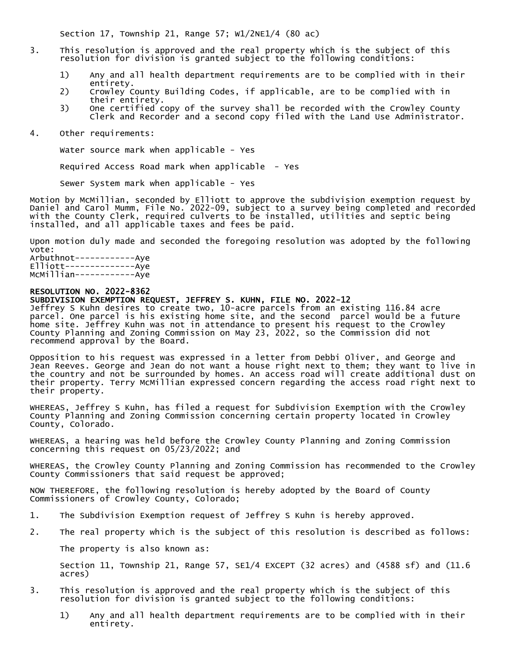Section 17, Township 21, Range 57; W1/2NE1/4 (80 ac)

- 3. This resolution is approved and the real property which is the subject of this resolution for division is granted subject to the following conditions:
	- 1) Any and all health department requirements are to be complied with in their entirety.
	- 2) Crowley County Building Codes, if applicable, are to be complied with in their entirety.
	- 3) One certified copy of the survey shall be recorded with the Crowley County Clerk and Recorder and a second copy filed with the Land Use Administrator.
- 4. Other requirements:

Water source mark when applicable - Yes

Required Access Road mark when applicable - Yes

Sewer System mark when applicable - Yes

Motion by McMillian, seconded by Elliott to approve the subdivision exemption request by Daniel and Carol Mumm, File No. 2022-09, subject to a survey being completed and recorded with the County Clerk, required culverts to be installed, utilities and septic being installed, and all applicable taxes and fees be paid.

Upon motion duly made and seconded the foregoing resolution was adopted by the following vote:

Arbuthnot------------Aye Elliott--------------Aye McMillian------------Aye

### RESOLUTION NO. 2022-8362

SUBDIVISION EXEMPTION REQUEST, JEFFREY S. KUHN, FILE NO. 2022-12

Jeffrey S Kuhn desires to create two, 10-acre parcels from an existing 116.84 acre parcel. One parcel is his existing home site, and the second parcel would be a future home site. Jeffrey Kuhn was not in attendance to present his request to the Crowley County Planning and Zoning Commission on May 23, 2022, so the Commission did not recommend approval by the Board.

Opposition to his request was expressed in a letter from Debbi Oliver, and George and Jean Reeves. George and Jean do not want a house right next to them; they want to live in the country and not be surrounded by homes. An access road will create additional dust on their property. Terry McMillian expressed concern regarding the access road right next to their property.

WHEREAS, Jeffrey S Kuhn, has filed a request for Subdivision Exemption with the Crowley County Planning and Zoning Commission concerning certain property located in Crowley County, Colorado.

WHEREAS, a hearing was held before the Crowley County Planning and Zoning Commission concerning this request on 05/23/2022; and

WHEREAS, the Crowley County Planning and Zoning Commission has recommended to the Crowley County Commissioners that said request be approved;

NOW THEREFORE, the following resolution is hereby adopted by the Board of County Commissioners of Crowley County, Colorado;

- 1. The Subdivision Exemption request of Jeffrey S Kuhn is hereby approved.
- 2. The real property which is the subject of this resolution is described as follows:

The property is also known as:

Section 11, Township 21, Range 57, SE1/4 EXCEPT (32 acres) and (4588 sf) and (11.6 acres)

- 3. This resolution is approved and the real property which is the subject of this resolution for division is granted subject to the following conditions:
	- 1) Any and all health department requirements are to be complied with in their entirety.